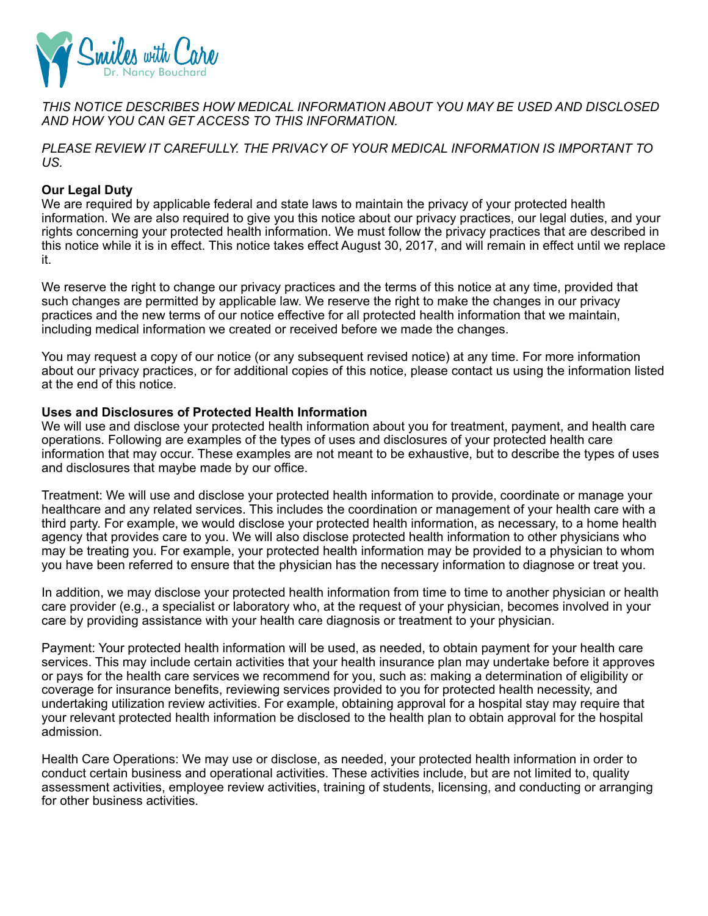

*THIS NOTICE DESCRIBES HOW MEDICAL INFORMATION ABOUT YOU MAY BE USED AND DISCLOSED AND HOW YOU CAN GET ACCESS TO THIS INFORMATION.* 

*PLEASE REVIEW IT CAREFULLY. THE PRIVACY OF YOUR MEDICAL INFORMATION IS IMPORTANT TO US.*

# **Our Legal Duty**

We are required by applicable federal and state laws to maintain the privacy of your protected health information. We are also required to give you this notice about our privacy practices, our legal duties, and your rights concerning your protected health information. We must follow the privacy practices that are described in this notice while it is in effect. This notice takes effect August 30, 2017, and will remain in effect until we replace it.

We reserve the right to change our privacy practices and the terms of this notice at any time, provided that such changes are permitted by applicable law. We reserve the right to make the changes in our privacy practices and the new terms of our notice effective for all protected health information that we maintain, including medical information we created or received before we made the changes.

You may request a copy of our notice (or any subsequent revised notice) at any time. For more information about our privacy practices, or for additional copies of this notice, please contact us using the information listed at the end of this notice.

## **Uses and Disclosures of Protected Health Information**

We will use and disclose your protected health information about you for treatment, payment, and health care operations. Following are examples of the types of uses and disclosures of your protected health care information that may occur. These examples are not meant to be exhaustive, but to describe the types of uses and disclosures that maybe made by our office.

Treatment: We will use and disclose your protected health information to provide, coordinate or manage your healthcare and any related services. This includes the coordination or management of your health care with a third party. For example, we would disclose your protected health information, as necessary, to a home health agency that provides care to you. We will also disclose protected health information to other physicians who may be treating you. For example, your protected health information may be provided to a physician to whom you have been referred to ensure that the physician has the necessary information to diagnose or treat you.

In addition, we may disclose your protected health information from time to time to another physician or health care provider (e.g., a specialist or laboratory who, at the request of your physician, becomes involved in your care by providing assistance with your health care diagnosis or treatment to your physician.

Payment: Your protected health information will be used, as needed, to obtain payment for your health care services. This may include certain activities that your health insurance plan may undertake before it approves or pays for the health care services we recommend for you, such as: making a determination of eligibility or coverage for insurance benefits, reviewing services provided to you for protected health necessity, and undertaking utilization review activities. For example, obtaining approval for a hospital stay may require that your relevant protected health information be disclosed to the health plan to obtain approval for the hospital admission.

Health Care Operations: We may use or disclose, as needed, your protected health information in order to conduct certain business and operational activities. These activities include, but are not limited to, quality assessment activities, employee review activities, training of students, licensing, and conducting or arranging for other business activities.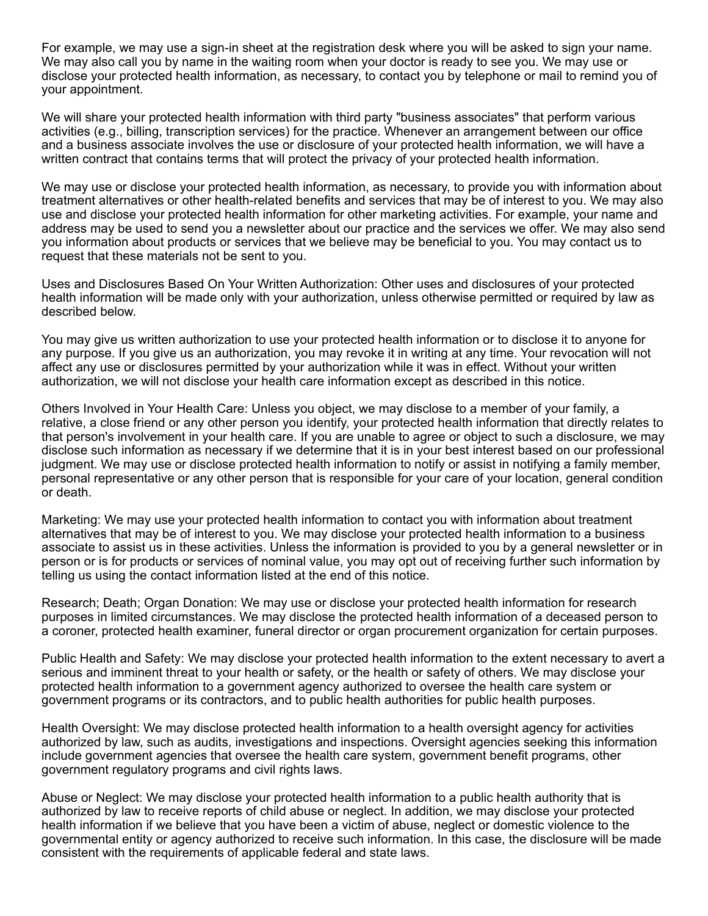For example, we may use a sign-in sheet at the registration desk where you will be asked to sign your name. We may also call you by name in the waiting room when your doctor is ready to see you. We may use or disclose your protected health information, as necessary, to contact you by telephone or mail to remind you of your appointment.

We will share your protected health information with third party "business associates" that perform various activities (e.g., billing, transcription services) for the practice. Whenever an arrangement between our office and a business associate involves the use or disclosure of your protected health information, we will have a written contract that contains terms that will protect the privacy of your protected health information.

We may use or disclose your protected health information, as necessary, to provide you with information about treatment alternatives or other health-related benefits and services that may be of interest to you. We may also use and disclose your protected health information for other marketing activities. For example, your name and address may be used to send you a newsletter about our practice and the services we offer. We may also send you information about products or services that we believe may be beneficial to you. You may contact us to request that these materials not be sent to you.

Uses and Disclosures Based On Your Written Authorization: Other uses and disclosures of your protected health information will be made only with your authorization, unless otherwise permitted or required by law as described below.

You may give us written authorization to use your protected health information or to disclose it to anyone for any purpose. If you give us an authorization, you may revoke it in writing at any time. Your revocation will not affect any use or disclosures permitted by your authorization while it was in effect. Without your written authorization, we will not disclose your health care information except as described in this notice.

Others Involved in Your Health Care: Unless you object, we may disclose to a member of your family, a relative, a close friend or any other person you identify, your protected health information that directly relates to that person's involvement in your health care. If you are unable to agree or object to such a disclosure, we may disclose such information as necessary if we determine that it is in your best interest based on our professional judgment. We may use or disclose protected health information to notify or assist in notifying a family member, personal representative or any other person that is responsible for your care of your location, general condition or death.

Marketing: We may use your protected health information to contact you with information about treatment alternatives that may be of interest to you. We may disclose your protected health information to a business associate to assist us in these activities. Unless the information is provided to you by a general newsletter or in person or is for products or services of nominal value, you may opt out of receiving further such information by telling us using the contact information listed at the end of this notice.

Research; Death; Organ Donation: We may use or disclose your protected health information for research purposes in limited circumstances. We may disclose the protected health information of a deceased person to a coroner, protected health examiner, funeral director or organ procurement organization for certain purposes.

Public Health and Safety: We may disclose your protected health information to the extent necessary to avert a serious and imminent threat to your health or safety, or the health or safety of others. We may disclose your protected health information to a government agency authorized to oversee the health care system or government programs or its contractors, and to public health authorities for public health purposes.

Health Oversight: We may disclose protected health information to a health oversight agency for activities authorized by law, such as audits, investigations and inspections. Oversight agencies seeking this information include government agencies that oversee the health care system, government benefit programs, other government regulatory programs and civil rights laws.

Abuse or Neglect: We may disclose your protected health information to a public health authority that is authorized by law to receive reports of child abuse or neglect. In addition, we may disclose your protected health information if we believe that you have been a victim of abuse, neglect or domestic violence to the governmental entity or agency authorized to receive such information. In this case, the disclosure will be made consistent with the requirements of applicable federal and state laws.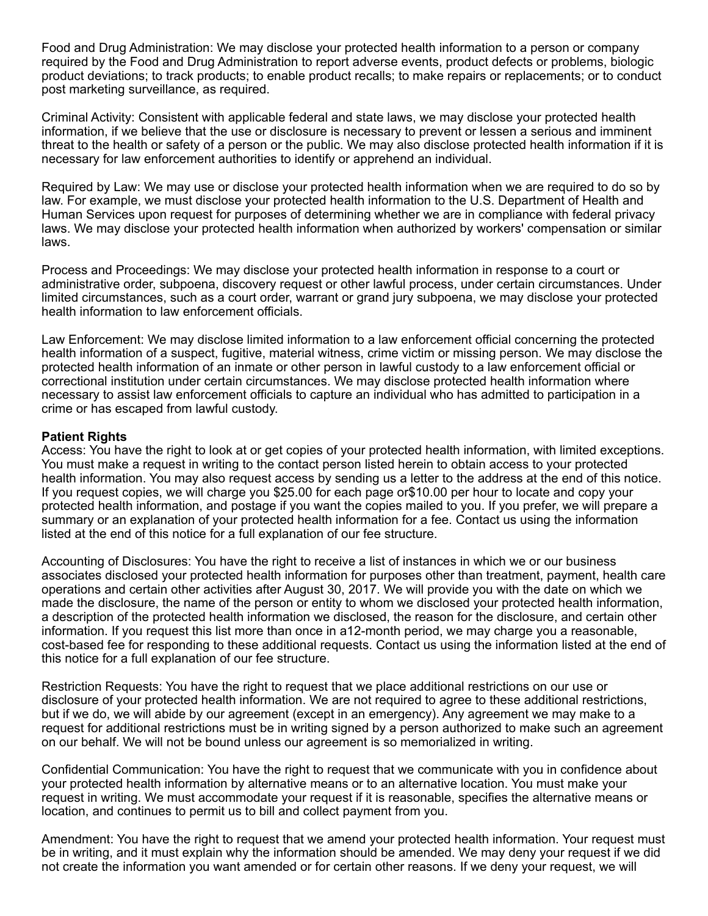Food and Drug Administration: We may disclose your protected health information to a person or company required by the Food and Drug Administration to report adverse events, product defects or problems, biologic product deviations; to track products; to enable product recalls; to make repairs or replacements; or to conduct post marketing surveillance, as required.

Criminal Activity: Consistent with applicable federal and state laws, we may disclose your protected health information, if we believe that the use or disclosure is necessary to prevent or lessen a serious and imminent threat to the health or safety of a person or the public. We may also disclose protected health information if it is necessary for law enforcement authorities to identify or apprehend an individual.

Required by Law: We may use or disclose your protected health information when we are required to do so by law. For example, we must disclose your protected health information to the U.S. Department of Health and Human Services upon request for purposes of determining whether we are in compliance with federal privacy laws. We may disclose your protected health information when authorized by workers' compensation or similar laws.

Process and Proceedings: We may disclose your protected health information in response to a court or administrative order, subpoena, discovery request or other lawful process, under certain circumstances. Under limited circumstances, such as a court order, warrant or grand jury subpoena, we may disclose your protected health information to law enforcement officials.

Law Enforcement: We may disclose limited information to a law enforcement official concerning the protected health information of a suspect, fugitive, material witness, crime victim or missing person. We may disclose the protected health information of an inmate or other person in lawful custody to a law enforcement official or correctional institution under certain circumstances. We may disclose protected health information where necessary to assist law enforcement officials to capture an individual who has admitted to participation in a crime or has escaped from lawful custody.

# **Patient Rights**

Access: You have the right to look at or get copies of your protected health information, with limited exceptions. You must make a request in writing to the contact person listed herein to obtain access to your protected health information. You may also request access by sending us a letter to the address at the end of this notice. If you request copies, we will charge you \$25.00 for each page or\$10.00 per hour to locate and copy your protected health information, and postage if you want the copies mailed to you. If you prefer, we will prepare a summary or an explanation of your protected health information for a fee. Contact us using the information listed at the end of this notice for a full explanation of our fee structure.

Accounting of Disclosures: You have the right to receive a list of instances in which we or our business associates disclosed your protected health information for purposes other than treatment, payment, health care operations and certain other activities after August 30, 2017. We will provide you with the date on which we made the disclosure, the name of the person or entity to whom we disclosed your protected health information, a description of the protected health information we disclosed, the reason for the disclosure, and certain other information. If you request this list more than once in a12-month period, we may charge you a reasonable, cost-based fee for responding to these additional requests. Contact us using the information listed at the end of this notice for a full explanation of our fee structure.

Restriction Requests: You have the right to request that we place additional restrictions on our use or disclosure of your protected health information. We are not required to agree to these additional restrictions, but if we do, we will abide by our agreement (except in an emergency). Any agreement we may make to a request for additional restrictions must be in writing signed by a person authorized to make such an agreement on our behalf. We will not be bound unless our agreement is so memorialized in writing.

Confidential Communication: You have the right to request that we communicate with you in confidence about your protected health information by alternative means or to an alternative location. You must make your request in writing. We must accommodate your request if it is reasonable, specifies the alternative means or location, and continues to permit us to bill and collect payment from you.

Amendment: You have the right to request that we amend your protected health information. Your request must be in writing, and it must explain why the information should be amended. We may deny your request if we did not create the information you want amended or for certain other reasons. If we deny your request, we will